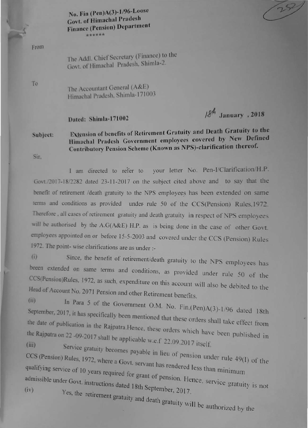No. Fin (Pen)A(3)-1/96-Loose **Govt. of Himachal Pradesh Finance (Pension) Department** \*\*\*\*\*\*

From

To

The Addl. Chief Secretary (Finance) to the Govt. of Himachal Pradesh, Shimla-2.

The Accountant General (A&E) Himachal Pradesh, Shimla-171003

## Dated: Shimla-171002

 $18<sup>4</sup>$  January, 2018

 $252$ 

## Extension of benefits of Retirement Gratuity and Death Gratuity to the Subject: Himachal Pradesh Government employees covered by New Defined Contributory Pension Scheme (Known as NPS)-clarification thereof.

Sir.

I am directed to refer to your letter No. Pen-I/Clarification/H.P. Govt./2017-18/2282 dated 23-11-2017 on the subject cited above and to say that the benefit of retirement /death gratuity to the NPS employees has been extended on same terms and conditions as provided under rule 50 of the CCS(Pension) Rules, 1972. Therefore , all cases of retirement gratuity and death gratuity in respect of NPS employees will be authorised by the A.G(A&E) H.P. as is being done in the case of other Govt. employees appointed on or before 15-5-2003 and covered under the CCS (Pension) Rules 1972. The point-wise clarifications are as under :-

Since, the benefit of retirement/death gratuity to the NPS employees has  $(i)$ beeen extended on same terms and conditions, as provided under rule 50 of the CCS(Pension)Rules, 1972, as such, expenditure on this account will also be debited to the Head of Account No. 2071 Pension and other Retirement benefits.  $(ii)$ 

In Para 5 of the Government O.M. No. Fin.(Pen)A(3)-1/96 dated 18th September, 2017, it has specifically been mentioned that these orders shall take effect from the date of publication in the Rajpatra.Hence, these orders which have been published in the Rajpatra on 22 -09-2017 shall be applicable w.e.f 22.09.2017 itself.

Service gratuity becomes payable in lieu of pension under rule 49(I) of the CCS (Pension) Rules, 1972, where a Govt. servant has rendered less than minimum qualifying service of 10 years required for grant of pension. Hence, service gratuity is not

admissible under Govt. instructions dated 18th September, 2017. Yes, the retirement gratuity and death gratuity will be authorized by the